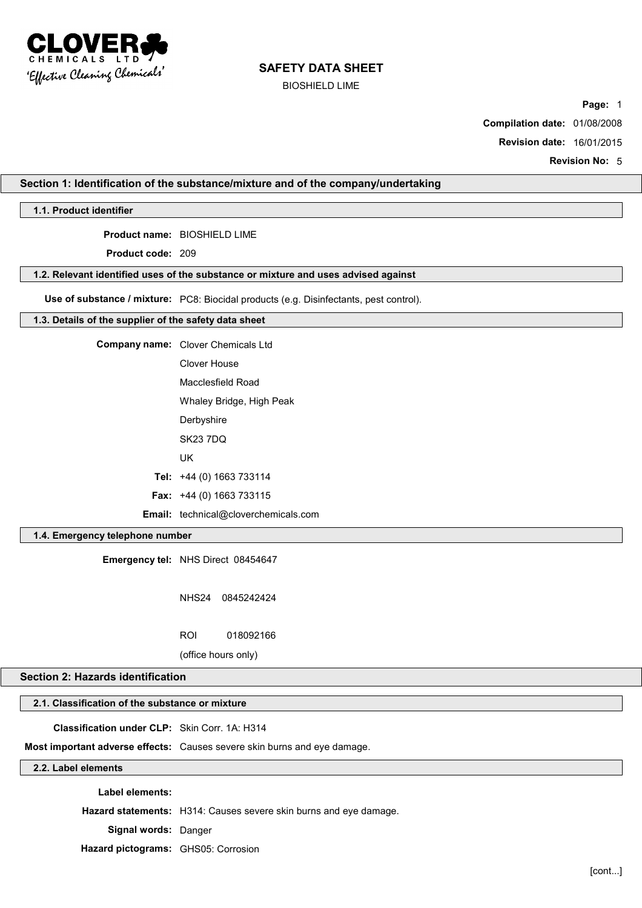

BIOSHIELD LIME

**Page:** 1

**Compilation date:** 01/08/2008

**Revision date:** 16/01/2015

**Revision No:** 5

## **Section 1: Identification of the substance/mixture and of the company/undertaking**

**1.1. Product identifier**

**Product name:** BIOSHIELD LIME

**Product code:** 209

### **1.2. Relevant identified uses of the substance or mixture and uses advised against**

**Use of substance / mixture:** PC8: Biocidal products (e.g. Disinfectants, pest control).

### **1.3. Details of the supplier of the safety data sheet**

**Company name:** Clover Chemicals Ltd Clover House Macclesfield Road Whaley Bridge, High Peak

**Derbyshire** 

SK23 7DQ

UK

**Tel:** +44 (0) 1663 733114

**Fax:** +44 (0) 1663 733115

**Email:** technical@cloverchemicals.com

## **1.4. Emergency telephone number**

**Emergency tel:** NHS Direct 08454647

NHS24 0845242424

ROI 018092166

(office hours only)

# **Section 2: Hazards identification**

# **2.1. Classification of the substance or mixture**

**Classification under CLP:** Skin Corr. 1A: H314

**Most important adverse effects:** Causes severe skin burns and eye damage.

# **2.2. Label elements**

**Label elements:**

**Hazard statements:** H314: Causes severe skin burns and eye damage.

**Signal words:** Danger

**Hazard pictograms:** GHS05: Corrosion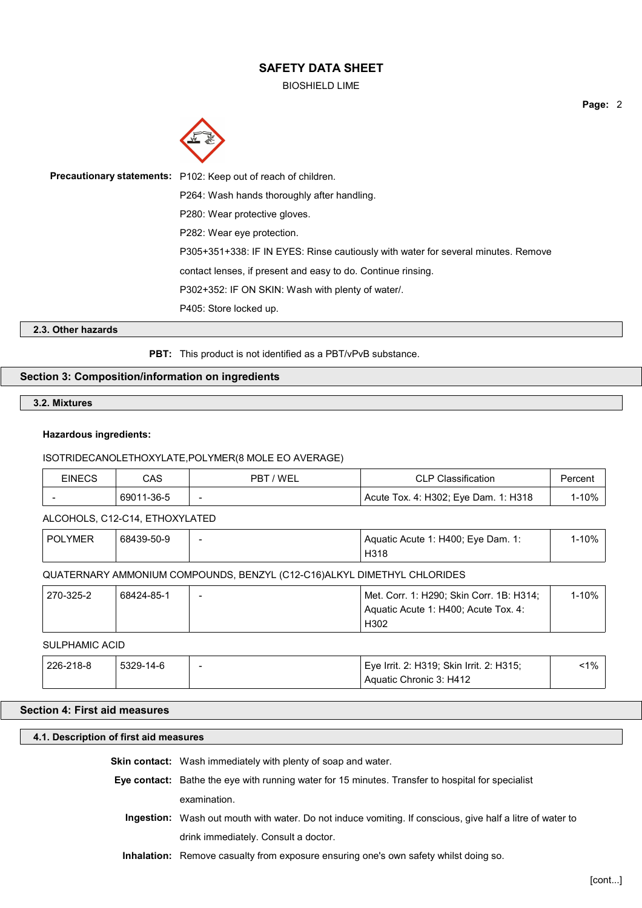BIOSHIELD LIME



| <b>Precautionary statements:</b> P102: Keep out of reach of children.             |
|-----------------------------------------------------------------------------------|
| P264: Wash hands thoroughly after handling.                                       |
| P280: Wear protective gloves.                                                     |
| P282: Wear eye protection.                                                        |
| P305+351+338: IF IN EYES: Rinse cautiously with water for several minutes. Remove |
| contact lenses, if present and easy to do. Continue rinsing.                      |
| P302+352: IF ON SKIN: Wash with plenty of water.                                  |
| P405: Store locked up.                                                            |

## **2.3. Other hazards**

**PBT:** This product is not identified as a PBT/vPvB substance.

# **Section 3: Composition/information on ingredients**

**3.2. Mixtures**

### **Hazardous ingredients:**

## ISOTRIDECANOLETHOXYLATE,POLYMER(8 MOLE EO AVERAGE)

| <b>EINECS</b> | CAS        | 7 WEL<br>PRT             | <b>CLP Classification</b>            | Percent |
|---------------|------------|--------------------------|--------------------------------------|---------|
|               | 69011-36-5 | $\overline{\phantom{0}}$ | Acute Tox. 4: H302; Eye Dam. 1: H318 | $-10%$  |

ALCOHOLS, C12-C14, ETHOXYLATED

| l-10%<br><b>POLYMER</b><br>68439-50-9<br>Aquatic Acute 1: H400; Eye Dam. 1:<br>H318 |
|-------------------------------------------------------------------------------------|
|-------------------------------------------------------------------------------------|

# QUATERNARY AMMONIUM COMPOUNDS, BENZYL (C12-C16)ALKYL DIMETHYL CHLORIDES

| 270-325-2 | 68424-85-1 | $\overline{\phantom{a}}$ | Met. Corr. 1: H290; Skin Corr. 1B: H314; | 1-10% |
|-----------|------------|--------------------------|------------------------------------------|-------|
|           |            |                          | Aquatic Acute 1: H400: Acute Tox. 4:     |       |
|           |            |                          | H302                                     |       |

# SULPHAMIC ACID

| 226-218-8 | 5329-14-6 | - | Eye Irrit. 2: H319; Skin Irrit. 2: H315; | $1\%$ |
|-----------|-----------|---|------------------------------------------|-------|
|           |           |   | Aquatic Chronic 3: H412                  |       |

# **Section 4: First aid measures**

# **4.1. Description of first aid measures**

**Skin contact:** Wash immediately with plenty of soap and water.

- **Eye contact:** Bathe the eye with running water for 15 minutes. Transfer to hospital for specialist examination.
	- **Ingestion:** Wash out mouth with water. Do not induce vomiting. If conscious, give half a litre of water to drink immediately. Consult a doctor.
	- **Inhalation:** Remove casualty from exposure ensuring one's own safety whilst doing so.

**Page:** 2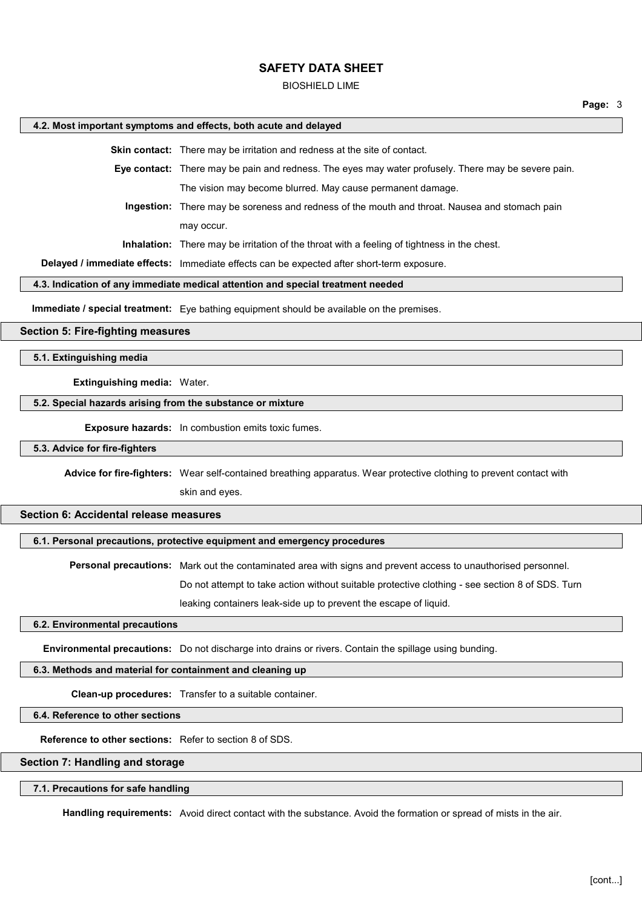#### BIOSHIELD LIME

#### **4.2. Most important symptoms and effects, both acute and delayed**

**Skin contact:** There may be irritation and redness at the site of contact.

**Eye contact:** There may be pain and redness. The eyes may water profusely. There may be severe pain. The vision may become blurred. May cause permanent damage.

**Ingestion:** There may be soreness and redness of the mouth and throat. Nausea and stomach pain may occur.

**Inhalation:** There may be irritation of the throat with a feeling of tightness in the chest.

**Delayed / immediate effects:** Immediate effects can be expected after short-term exposure.

#### **4.3. Indication of any immediate medical attention and special treatment needed**

**Immediate / special treatment:** Eye bathing equipment should be available on the premises.

## **Section 5: Fire-fighting measures**

**5.1. Extinguishing media**

**Extinguishing media:** Water.

#### **5.2. Special hazards arising from the substance or mixture**

**Exposure hazards:** In combustion emits toxic fumes.

**5.3. Advice for fire-fighters**

**Advice for fire-fighters:** Wear self-contained breathing apparatus. Wear protective clothing to prevent contact with skin and eyes.

#### **Section 6: Accidental release measures**

#### **6.1. Personal precautions, protective equipment and emergency procedures**

**Personal precautions:** Mark out the contaminated area with signs and prevent access to unauthorised personnel. Do not attempt to take action without suitable protective clothing - see section 8 of SDS. Turn

leaking containers leak-side up to prevent the escape of liquid.

### **6.2. Environmental precautions**

**Environmental precautions:** Do not discharge into drains or rivers. Contain the spillage using bunding.

### **6.3. Methods and material for containment and cleaning up**

**Clean-up procedures:** Transfer to a suitable container.

**6.4. Reference to other sections**

**Reference to other sections:** Refer to section 8 of SDS.

### **Section 7: Handling and storage**

#### **7.1. Precautions for safe handling**

**Handling requirements:** Avoid direct contact with the substance. Avoid the formation or spread of mists in the air.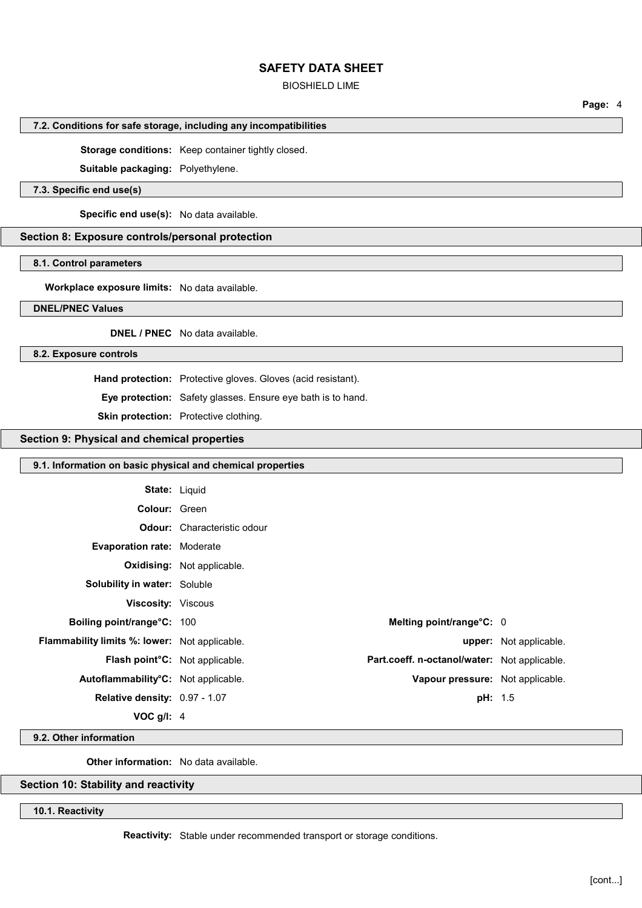### BIOSHIELD LIME

### **7.2. Conditions for safe storage, including any incompatibilities**

**Storage conditions:** Keep container tightly closed.

**Suitable packaging:** Polyethylene.

## **7.3. Specific end use(s)**

**Specific end use(s):** No data available.

### **Section 8: Exposure controls/personal protection**

#### **8.1. Control parameters**

**Workplace exposure limits:** No data available.

### **DNEL/PNEC Values**

**DNEL / PNEC** No data available.

#### **8.2. Exposure controls**

**Hand protection:** Protective gloves. Gloves (acid resistant).

**Eye protection:** Safety glasses. Ensure eye bath is to hand.

# **Skin protection:** Protective clothing.

# **Section 9: Physical and chemical properties**

| 9.1. Information on basic physical and chemical properties |                                    |                                              |                               |
|------------------------------------------------------------|------------------------------------|----------------------------------------------|-------------------------------|
| <b>State: Liquid</b>                                       |                                    |                                              |                               |
| Colour: Green                                              |                                    |                                              |                               |
|                                                            | <b>Odour:</b> Characteristic odour |                                              |                               |
| <b>Evaporation rate: Moderate</b>                          |                                    |                                              |                               |
|                                                            | <b>Oxidising:</b> Not applicable.  |                                              |                               |
| <b>Solubility in water: Soluble</b>                        |                                    |                                              |                               |
| <b>Viscosity: Viscous</b>                                  |                                    |                                              |                               |
| Boiling point/range°C: 100                                 |                                    | Melting point/range°C: 0                     |                               |
| <b>Flammability limits %: lower:</b> Not applicable.       |                                    |                                              | <b>upper:</b> Not applicable. |
| Flash point°C: Not applicable.                             |                                    | Part.coeff. n-octanol/water: Not applicable. |                               |
| Autoflammability <sup>o</sup> C: Not applicable.           |                                    | Vapour pressure: Not applicable.             |                               |
| Relative density: 0.97 - 1.07                              |                                    | <b>pH:</b> 1.5                               |                               |
| VOC $g/I$ : 4                                              |                                    |                                              |                               |

# **9.2. Other information**

**Other information:** No data available.

## **Section 10: Stability and reactivity**

**10.1. Reactivity**

**Reactivity:** Stable under recommended transport or storage conditions.

**Page:** 4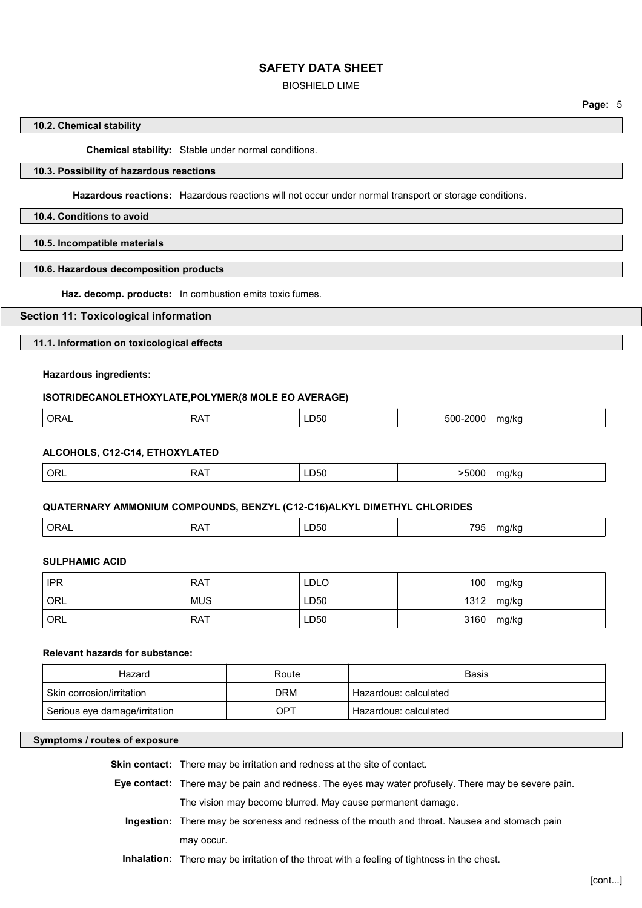BIOSHIELD LIME

## **10.2. Chemical stability**

**Chemical stability:** Stable under normal conditions.

# **10.3. Possibility of hazardous reactions**

**Hazardous reactions:** Hazardous reactions will not occur under normal transport or storage conditions.

**10.4. Conditions to avoid**

**10.5. Incompatible materials**

### **10.6. Hazardous decomposition products**

**Haz. decomp. products:** In combustion emits toxic fumes.

# **Section 11: Toxicological information**

## **11.1. Information on toxicological effects**

## **Hazardous ingredients:**

## **ISOTRIDECANOLETHOXYLATE,POLYMER(8 MOLE EO AVERAGE)**

|  | ⊣ר<br><u>UIVIL</u> | − ∧ ت | LD50 -<br>$- - -$ | 70<br>וו ור<br>. | 17 K I<br>$\sim$<br>ີ<br>. . |
|--|--------------------|-------|-------------------|------------------|------------------------------|
|--|--------------------|-------|-------------------|------------------|------------------------------|

### **ALCOHOLS, C12-C14, ETHOXYLATED**

| ORL | <br>$ -$ | - - - - | na/kr<br>$\ddot{\phantom{0}}$ |
|-----|----------|---------|-------------------------------|
|     |          |         |                               |

### **QUATERNARY AMMONIUM COMPOUNDS, BENZYL (C12-C16)ALKYL DIMETHYL CHLORIDES**

| $\Omega$<br>ORAL<br>$\cdot$ $\sim$ | ---<br>LDOU<br>. | 795 | na/ko<br>. . |
|------------------------------------|------------------|-----|--------------|
|------------------------------------|------------------|-----|--------------|

# **SULPHAMIC ACID**

| <b>IPR</b> | <b>RAT</b> | LDLO | 100  | mg/kg |
|------------|------------|------|------|-------|
| <b>ORL</b> | <b>MUS</b> | LD50 | 1312 | mg/kg |
| <b>ORL</b> | <b>RAT</b> | LD50 | 3160 | mg/kg |

#### **Relevant hazards for substance:**

| Hazard                        | Route | <b>Basis</b>          |
|-------------------------------|-------|-----------------------|
| . Skin corrosion/irritation   | DRM   | Hazardous: calculated |
| Serious eye damage/irritation | OPT   | Hazardous: calculated |

### **Symptoms / routes of exposure**

| <b>Skin contact:</b> There may be irritation and redness at the site of contact.                    |
|-----------------------------------------------------------------------------------------------------|
| Eye contact: There may be pain and redness. The eyes may water profusely. There may be severe pain. |
| The vision may become blurred. May cause permanent damage.                                          |
| Ingestion: There may be soreness and redness of the mouth and throat. Nausea and stomach pain       |
| may occur.                                                                                          |

**Inhalation:** There may be irritation of the throat with a feeling of tightness in the chest.

**Page:** 5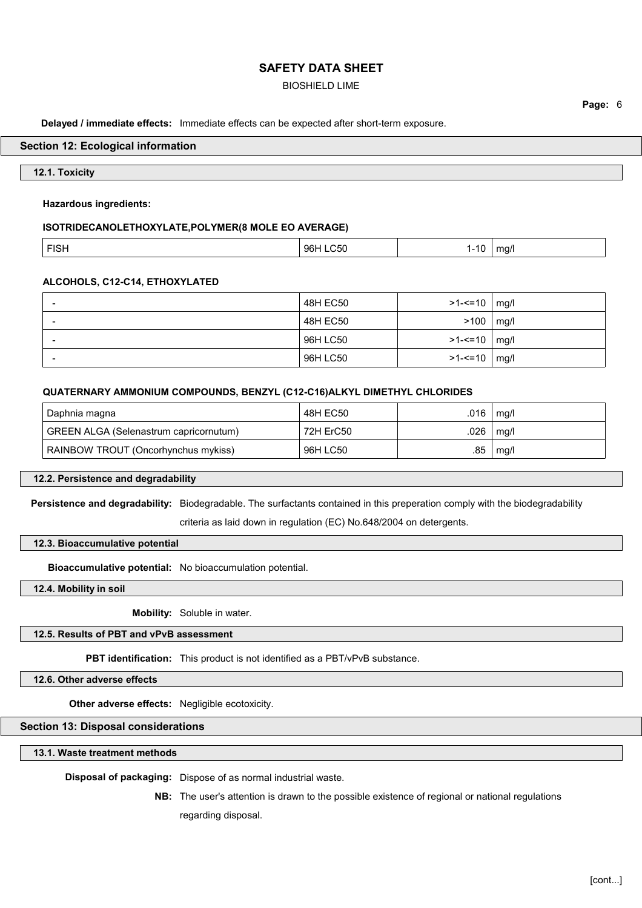### BIOSHIELD LIME

**Delayed / immediate effects:** Immediate effects can be expected after short-term exposure.

#### **Section 12: Ecological information**

### **12.1. Toxicity**

#### **Hazardous ingredients:**

#### **ISOTRIDECANOLETHOXYLATE,POLYMER(8 MOLE EO AVERAGE)**

| $-10$<br>.<br>ישו<br>.<br>$\sim$ $\sim$ $\sim$ $\sim$ $\sim$ |  |  |
|--------------------------------------------------------------|--|--|
|--------------------------------------------------------------|--|--|

### **ALCOHOLS, C12-C14, ETHOXYLATED**

| $\overline{\phantom{a}}$ | 48H EC50 | $>1 - 1 = 10$   mg/l |      |
|--------------------------|----------|----------------------|------|
| $\overline{\phantom{0}}$ | 48H EC50 | >100                 | mg/l |
| $\overline{\phantom{0}}$ | 96H LC50 | >1-<=10   mg/l       |      |
| $\overline{\phantom{a}}$ | 96H LC50 | $>1 - 10$ mg/l       |      |

#### **QUATERNARY AMMONIUM COMPOUNDS, BENZYL (C12-C16)ALKYL DIMETHYL CHLORIDES**

| Daphnia magna                          | 48H EC50  | .016 | mg/l |
|----------------------------------------|-----------|------|------|
| GREEN ALGA (Selenastrum capricornutum) | 72H ErC50 | .026 | mg/l |
| RAINBOW TROUT (Oncorhynchus mykiss)    | 96H LC50  | .85  | mg/l |

### **12.2. Persistence and degradability**

**Persistence and degradability:** Biodegradable. The surfactants contained in this preperation comply with the biodegradability criteria as laid down in regulation (EC) No.648/2004 on detergents.

#### **12.3. Bioaccumulative potential**

**Bioaccumulative potential:** No bioaccumulation potential.

**12.4. Mobility in soil**

**Mobility:** Soluble in water.

# **12.5. Results of PBT and vPvB assessment**

**PBT identification:** This product is not identified as a PBT/vPvB substance.

**12.6. Other adverse effects**

**Other adverse effects:** Negligible ecotoxicity.

## **Section 13: Disposal considerations**

**13.1. Waste treatment methods**

**Disposal of packaging:** Dispose of as normal industrial waste.

**NB:** The user's attention is drawn to the possible existence of regional or national regulations regarding disposal.